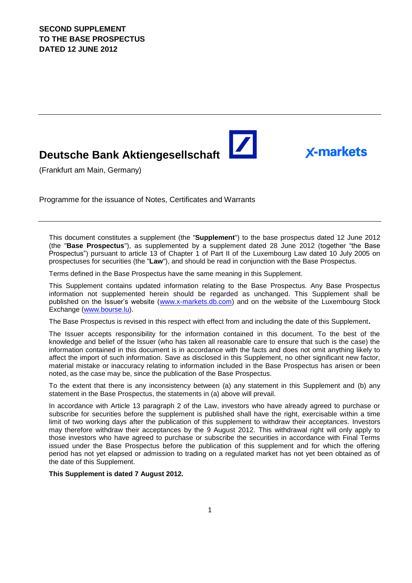# **Deutsche Bank Aktiengesellschaft**

(Frankfurt am Main, Germany)

Programme for the issuance of Notes, Certificates and Warrants

This document constitutes a supplement (the "**Supplement**") to the base prospectus dated 12 June 2012 (the "**Base Prospectus**"), as supplemented by a supplement dated 28 June 2012 (together "the Base Prospectus") pursuant to article 13 of Chapter 1 of Part II of the Luxembourg Law dated 10 July 2005 on prospectuses for securities (the "**Law**"), and should be read in conjunction with the Base Prospectus.

 $\blacktriangleright$ 

**X-markets** 

Terms defined in the Base Prospectus have the same meaning in this Supplement.

This Supplement contains updated information relating to the Base Prospectus. Any Base Prospectus information not supplemented herein should be regarded as unchanged. This Supplement shall be published on the Issuer's website [\(www.x-markets.db.com\)](http://www.x-markets.db.com/) and on the website of the Luxembourg Stock Exchange (www.bourse.lu).

The Base Prospectus is revised in this respect with effect from and including the date of this Supplement**.**

The Issuer accepts responsibility for the information contained in this document. To the best of the knowledge and belief of the Issuer (who has taken all reasonable care to ensure that such is the case) the information contained in this document is in accordance with the facts and does not omit anything likely to affect the import of such information. Save as disclosed in this Supplement, no other significant new factor, material mistake or inaccuracy relating to information included in the Base Prospectus has arisen or been noted, as the case may be, since the publication of the Base Prospectus.

To the extent that there is any inconsistency between (a) any statement in this Supplement and (b) any statement in the Base Prospectus, the statements in (a) above will prevail.

In accordance with Article 13 paragraph 2 of the Law, investors who have already agreed to purchase or subscribe for securities before the supplement is published shall have the right, exercisable within a time limit of two working days after the publication of this supplement to withdraw their acceptances. Investors may therefore withdraw their acceptances by the 9 August 2012. This withdrawal right will only apply to those investors who have agreed to purchase or subscribe the securities in accordance with Final Terms issued under the Base Prospectus before the publication of this supplement and for which the offering period has not yet elapsed or admission to trading on a regulated market has not yet been obtained as of the date of this Supplement.

**This Supplement is dated 7 August 2012.**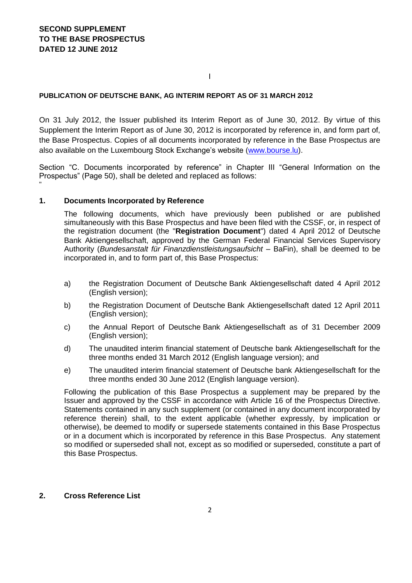#### I

#### **PUBLICATION OF DEUTSCHE BANK, AG INTERIM REPORT AS OF 31 MARCH 2012**

On 31 July 2012, the Issuer published its Interim Report as of June 30, 2012. By virtue of this Supplement the Interim Report as of June 30, 2012 is incorporated by reference in, and form part of, the Base Prospectus. Copies of all documents incorporated by reference in the Base Prospectus are also available on the Luxembourg Stock Exchange's website [\(www.bourse.lu\)](http://www.bourse.lu/).

Section "C. Documents incorporated by reference" in Chapter III "General Information on the Prospectus" (Page 50), shall be deleted and replaced as follows: "

#### **1. Documents Incorporated by Reference**

The following documents, which have previously been published or are published simultaneously with this Base Prospectus and have been filed with the CSSF, or, in respect of the registration document (the "**Registration Document**") dated 4 April 2012 of Deutsche Bank Aktiengesellschaft, approved by the German Federal Financial Services Supervisory Authority (*Bundesanstalt für Finanzdienstleistungsaufsicht –* BaFin), shall be deemed to be incorporated in, and to form part of, this Base Prospectus:

- a) the Registration Document of Deutsche Bank Aktiengesellschaft dated 4 April 2012 (English version);
- b) the Registration Document of Deutsche Bank Aktiengesellschaft dated 12 April 2011 (English version);
- c) the Annual Report of Deutsche Bank Aktiengesellschaft as of 31 December 2009 (English version);
- d) The unaudited interim financial statement of Deutsche bank Aktiengesellschaft for the three months ended 31 March 2012 (English language version); and
- e) The unaudited interim financial statement of Deutsche bank Aktiengesellschaft for the three months ended 30 June 2012 (English language version).

Following the publication of this Base Prospectus a supplement may be prepared by the Issuer and approved by the CSSF in accordance with Article 16 of the Prospectus Directive. Statements contained in any such supplement (or contained in any document incorporated by reference therein) shall, to the extent applicable (whether expressly, by implication or otherwise), be deemed to modify or supersede statements contained in this Base Prospectus or in a document which is incorporated by reference in this Base Prospectus. Any statement so modified or superseded shall not, except as so modified or superseded, constitute a part of this Base Prospectus.

#### **2. Cross Reference List**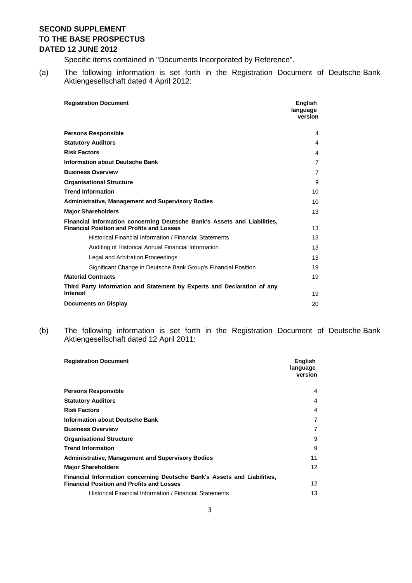Specific items contained in "Documents Incorporated by Reference".

(a) The following information is set forth in the Registration Document of Deutsche Bank Aktiengesellschaft dated 4 April 2012:

| <b>Registration Document</b>                                                                                                 | <b>English</b><br>language<br>version |
|------------------------------------------------------------------------------------------------------------------------------|---------------------------------------|
| <b>Persons Responsible</b>                                                                                                   | 4                                     |
| <b>Statutory Auditors</b>                                                                                                    | 4                                     |
| <b>Risk Factors</b>                                                                                                          | 4                                     |
| <b>Information about Deutsche Bank</b>                                                                                       | $\overline{7}$                        |
| <b>Business Overview</b>                                                                                                     | $\overline{7}$                        |
| <b>Organisational Structure</b>                                                                                              | 9                                     |
| <b>Trend Information</b>                                                                                                     | 10                                    |
| <b>Administrative, Management and Supervisory Bodies</b>                                                                     | 10                                    |
| <b>Major Shareholders</b>                                                                                                    | 13                                    |
| Financial Information concerning Deutsche Bank's Assets and Liabilities,<br><b>Financial Position and Profits and Losses</b> | 13                                    |
| Historical Financial Information / Financial Statements                                                                      | 13                                    |
| Auditing of Historical Annual Financial Information                                                                          | 13                                    |
| Legal and Arbitration Proceedings                                                                                            | 13                                    |
| Significant Change in Deutsche Bank Group's Financial Position                                                               | 19                                    |
| <b>Material Contracts</b>                                                                                                    | 19                                    |
| Third Party Information and Statement by Experts and Declaration of any<br><b>Interest</b>                                   |                                       |
|                                                                                                                              | 19                                    |
| <b>Documents on Display</b>                                                                                                  | 20                                    |

(b) The following information is set forth in the Registration Document of Deutsche Bank Aktiengesellschaft dated 12 April 2011:

| <b>Registration Document</b>                                                                                                 | <b>English</b><br>language<br>version |
|------------------------------------------------------------------------------------------------------------------------------|---------------------------------------|
| <b>Persons Responsible</b>                                                                                                   | 4                                     |
| <b>Statutory Auditors</b>                                                                                                    | 4                                     |
| <b>Risk Factors</b>                                                                                                          | 4                                     |
| <b>Information about Deutsche Bank</b>                                                                                       | 7                                     |
| <b>Business Overview</b>                                                                                                     | 7                                     |
| <b>Organisational Structure</b>                                                                                              | 9                                     |
| <b>Trend Information</b>                                                                                                     | 9                                     |
| <b>Administrative, Management and Supervisory Bodies</b>                                                                     | 11                                    |
| <b>Major Shareholders</b>                                                                                                    | 12                                    |
| Financial Information concerning Deutsche Bank's Assets and Liabilities,<br><b>Financial Position and Profits and Losses</b> | $12 \overline{ }$                     |
| Historical Financial Information / Financial Statements                                                                      | 13                                    |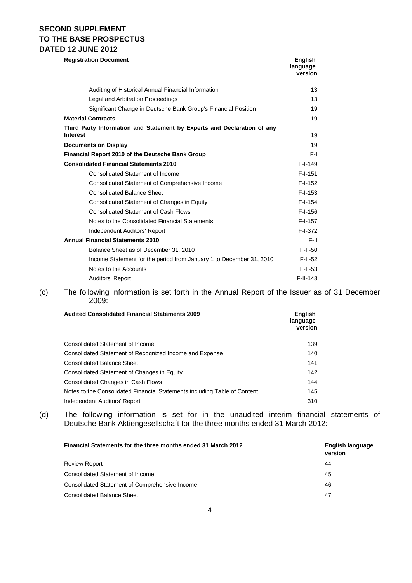| <b>Registration Document</b>                                                               | English<br>language<br>version |
|--------------------------------------------------------------------------------------------|--------------------------------|
| Auditing of Historical Annual Financial Information                                        | 13                             |
| Legal and Arbitration Proceedings                                                          | 13                             |
| Significant Change in Deutsche Bank Group's Financial Position                             | 19                             |
| <b>Material Contracts</b>                                                                  | 19                             |
| Third Party Information and Statement by Experts and Declaration of any<br><b>Interest</b> | 19                             |
| <b>Documents on Display</b>                                                                | 19                             |
| Financial Report 2010 of the Deutsche Bank Group                                           | F-I                            |
| <b>Consolidated Financial Statements 2010</b>                                              | $F-I-149$                      |
| Consolidated Statement of Income                                                           | $F-I-151$                      |
| Consolidated Statement of Comprehensive Income                                             | $F-I-152$                      |
| <b>Consolidated Balance Sheet</b>                                                          | $F-I-153$                      |
| Consolidated Statement of Changes in Equity                                                | $F-I-154$                      |
| <b>Consolidated Statement of Cash Flows</b>                                                | $F-I-156$                      |
| Notes to the Consolidated Financial Statements                                             | $F-I-157$                      |
| Independent Auditors' Report                                                               | $F-I-372$                      |
| <b>Annual Financial Statements 2010</b>                                                    | F-II.                          |
| Balance Sheet as of December 31, 2010                                                      | $F-II-50$                      |
| Income Statement for the period from January 1 to December 31, 2010                        | $F-II-52$                      |
| Notes to the Accounts                                                                      | $F-II-53$                      |
| Auditors' Report                                                                           | $F-II-143$                     |

(c) The following information is set forth in the Annual Report of the Issuer as of 31 December 2009:

| <b>Audited Consolidated Financial Statements 2009</b>                     | <b>English</b><br>language<br>version |
|---------------------------------------------------------------------------|---------------------------------------|
| Consolidated Statement of Income                                          | 139                                   |
| Consolidated Statement of Recognized Income and Expense                   | 140                                   |
| <b>Consolidated Balance Sheet</b>                                         | 141                                   |
| Consolidated Statement of Changes in Equity                               | 142                                   |
| Consolidated Changes in Cash Flows                                        | 144                                   |
| Notes to the Consolidated Financial Statements including Table of Content | 145                                   |
| Independent Auditors' Report                                              | 310                                   |

(d) The following information is set for in the unaudited interim financial statements of Deutsche Bank Aktiengesellschaft for the three months ended 31 March 2012:

| Financial Statements for the three months ended 31 March 2012 | English language<br>version |
|---------------------------------------------------------------|-----------------------------|
| <b>Review Report</b>                                          | 44                          |
| Consolidated Statement of Income                              | 45                          |
| Consolidated Statement of Comprehensive Income                | 46                          |
| <b>Consolidated Balance Sheet</b>                             | 47                          |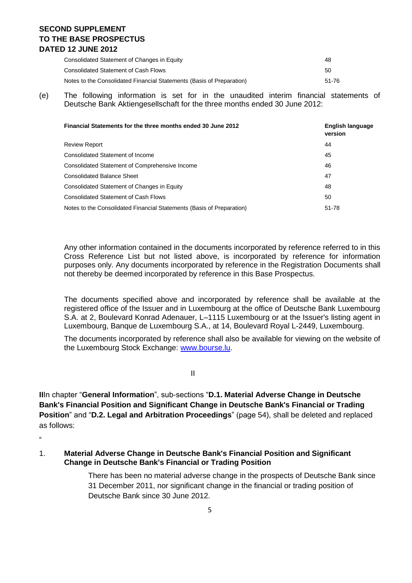| Consolidated Statement of Changes in Equity                           | 48    |
|-----------------------------------------------------------------------|-------|
| Consolidated Statement of Cash Flows                                  | 50    |
| Notes to the Consolidated Financial Statements (Basis of Preparation) | 51-76 |

(e) The following information is set for in the unaudited interim financial statements of Deutsche Bank Aktiengesellschaft for the three months ended 30 June 2012:

| Financial Statements for the three months ended 30 June 2012          | English language<br>version |
|-----------------------------------------------------------------------|-----------------------------|
| <b>Review Report</b>                                                  | 44                          |
| Consolidated Statement of Income                                      | 45                          |
| <b>Consolidated Statement of Comprehensive Income</b>                 | 46                          |
| <b>Consolidated Balance Sheet</b>                                     | 47                          |
| Consolidated Statement of Changes in Equity                           | 48                          |
| <b>Consolidated Statement of Cash Flows</b>                           | 50                          |
| Notes to the Consolidated Financial Statements (Basis of Preparation) | 51-78                       |

Any other information contained in the documents incorporated by reference referred to in this Cross Reference List but not listed above, is incorporated by reference for information purposes only. Any documents incorporated by reference in the Registration Documents shall not thereby be deemed incorporated by reference in this Base Prospectus.

The documents specified above and incorporated by reference shall be available at the registered office of the Issuer and in Luxembourg at the office of Deutsche Bank Luxembourg S.A. at 2, Boulevard Konrad Adenauer, L–1115 Luxembourg or at the Issuer's listing agent in Luxembourg, Banque de Luxembourg S.A., at 14, Boulevard Royal L-2449, Luxembourg.

The documents incorporated by reference shall also be available for viewing on the website of the Luxembourg Stock Exchange: [www.bourse.lu.](http://www.bourse.lu/)

II

**II**In chapter "**General Information**", sub-sections "**D.1. Material Adverse Change in Deutsche Bank's Financial Position and Significant Change in Deutsche Bank's Financial or Trading Position**" and "**D.2. Legal and Arbitration Proceedings**" (page 54), shall be deleted and replaced as follows:

 $\mu$ 

1. **Material Adverse Change in Deutsche Bank's Financial Position and Significant Change in Deutsche Bank's Financial or Trading Position**

> There has been no material adverse change in the prospects of Deutsche Bank since 31 December 2011, nor significant change in the financial or trading position of Deutsche Bank since 30 June 2012.